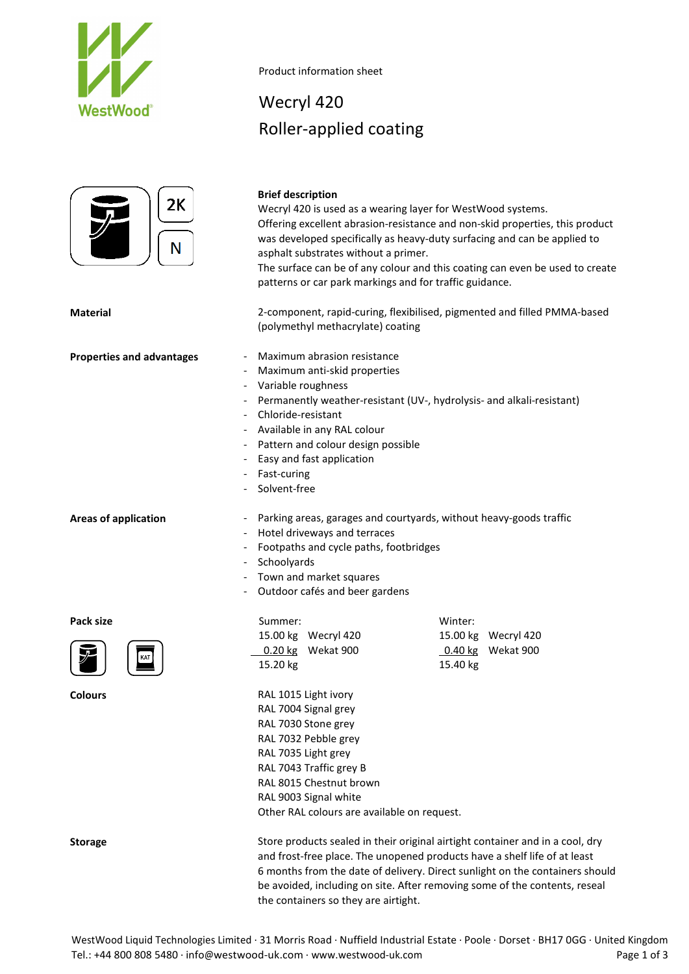



Product information sheet

## Wecryl 420 Roller-applied coating

## **Brief description** Wecryl 420 is used as a wearing layer for WestWood systems. Offering excellent abrasion-resistance and non-skid properties, this product was developed specifically as heavy-duty surfacing and can be applied to asphalt substrates without a primer. The surface can be of any colour and this coating can even be used to create patterns or car park markings and for traffic guidance. **Material** 2-component, rapid-curing, flexibilised, pigmented and filled PMMA-based (polymethyl methacrylate) coating **Properties and advantages -** Maximum abrasion resistance Maximum anti-skid properties Variable roughness Permanently weather-resistant (UV-, hydrolysis- and alkali-resistant) - Chloride-resistant - Available in any RAL colour Pattern and colour design possible Easy and fast application Fast-curing Solvent-free Areas of application **- Parking areas, garages and courtyards**, without heavy-goods traffic Hotel driveways and terraces - Footpaths and cycle paths, footbridges Schoolyards - Town and market squares - Outdoor cafés and beer gardens Pack size **Summer:** Summer: **Winter:** Winter: 15.00 kg Wecryl 420 15.00 kg Wecryl 420 0.20 kg Wekat 900 0.40 kg Wekat 900



**Colours** RAL 1015 Light ivory

| Storage |  |
|---------|--|
|         |  |

RAL 7004 Signal grey RAL 7030 Stone grey RAL 7032 Pebble grey RAL 7035 Light grey RAL 7043 Traffic grey B RAL 8015 Chestnut brown RAL 9003 Signal white Other RAL colours are available on request.

15.20 kg 15.40 kg

Store products sealed in their original airtight container and in a cool, dry and frost-free place. The unopened products have a shelf life of at least 6 months from the date of delivery. Direct sunlight on the containers should be avoided, including on site. After removing some of the contents, reseal the containers so they are airtight.

WestWood Liquid Technologies Limited · 31 Morris Road · Nuffield Industrial Estate · Poole · Dorset · BH17 0GG · United Kingdom Tel.: +44 800 808 5480 · info@westwood-uk.com · www.westwood-uk.com example are a major control Page 1 of 3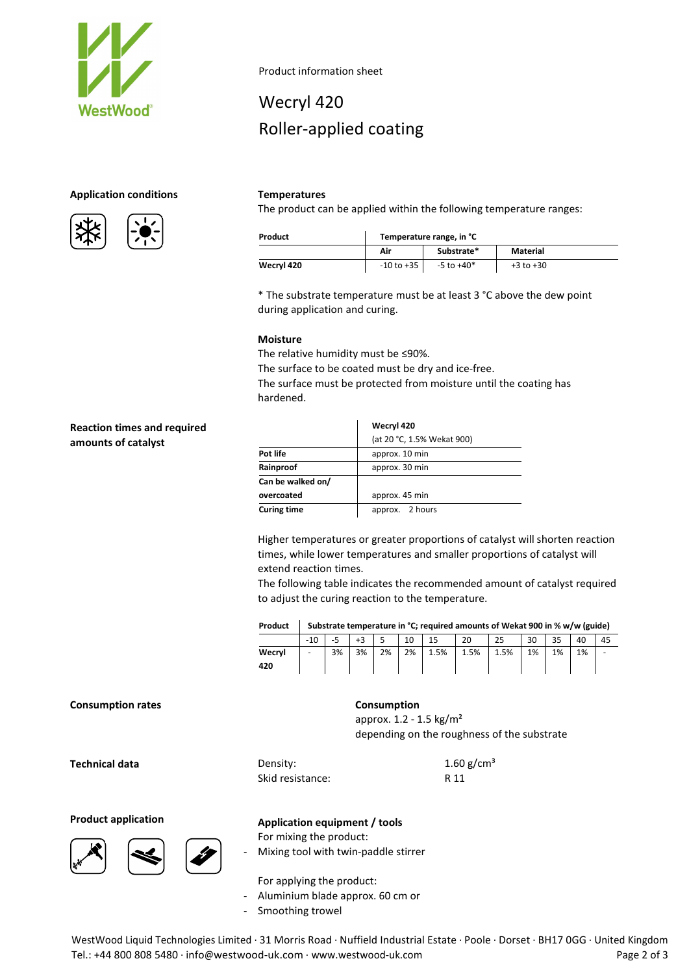

### **Application conditions Temperatures**





Product information sheet

# Wecryl 420 Roller-applied coating

The product can be applied within the following temperature ranges:

| Product    | Temperature range, in °C |            |               |  |  |  |
|------------|--------------------------|------------|---------------|--|--|--|
|            | Air                      | Substrate* | Material      |  |  |  |
| Wecryl 420 | -10 to +35               | -5 to +40* | $+3$ to $+30$ |  |  |  |

\* The substrate temperature must be at least 3 °C above the dew point during application and curing.

### **Moisture**

The relative humidity must be ≤90%.

The surface to be coated must be dry and ice-free.

The surface must be protected from moisture until the coating has hardened.

### **Reaction times and required amounts of catalyst**

|                    | Wecryl 420                 |
|--------------------|----------------------------|
|                    | (at 20 °C, 1.5% Wekat 900) |
| Pot life           | approx. 10 min             |
| Rainproof          | approx. 30 min             |
| Can be walked on/  |                            |
| overcoated         | approx. 45 min             |
| <b>Curing time</b> | approx. 2 hours            |

Higher temperatures or greater proportions of catalyst will shorten reaction times, while lower temperatures and smaller proportions of catalyst will extend reaction times.

The following table indicates the recommended amount of catalyst required to adjust the curing reaction to the temperature.

**Product Substrate temperature in °C; required amounts of Wekat 900 in % w/w (guide)**

|        | $-10$                    | -- | $\cdot$ $\sim$ |    | 10 | 15<br><b>__</b> | 20      | 25   | 30 | n m<br>ວວ | 40 | 45 |
|--------|--------------------------|----|----------------|----|----|-----------------|---------|------|----|-----------|----|----|
| Wecryl | $\overline{\phantom{a}}$ | 3% | 3%             | 2% | 2% | 1.5%            | $1.5\%$ | 1.5% | 1% | 1%        | 1% | -  |
| 420    |                          |    |                |    |    |                 |         |      |    |           |    |    |

#### **Consumption rates Consumption**

approx. 1.2 - 1.5 kg/m² depending on the roughness of the substrate

**Technical data** Density: Skid resistance: 1.60  $g/cm^{3}$ R 11





## **Product application Application equipment / tools**

For mixing the product:

Mixing tool with twin-paddle stirrer

For applying the product:

- Aluminium blade approx. 60 cm or
- Smoothing trowel

WestWood Liquid Technologies Limited · 31 Morris Road · Nuffield Industrial Estate · Poole · Dorset · BH17 0GG · United Kingdom Tel.: +44 800 808 5480 · info@westwood-uk.com · www.westwood-uk.com example are example as a Page 2 of 3